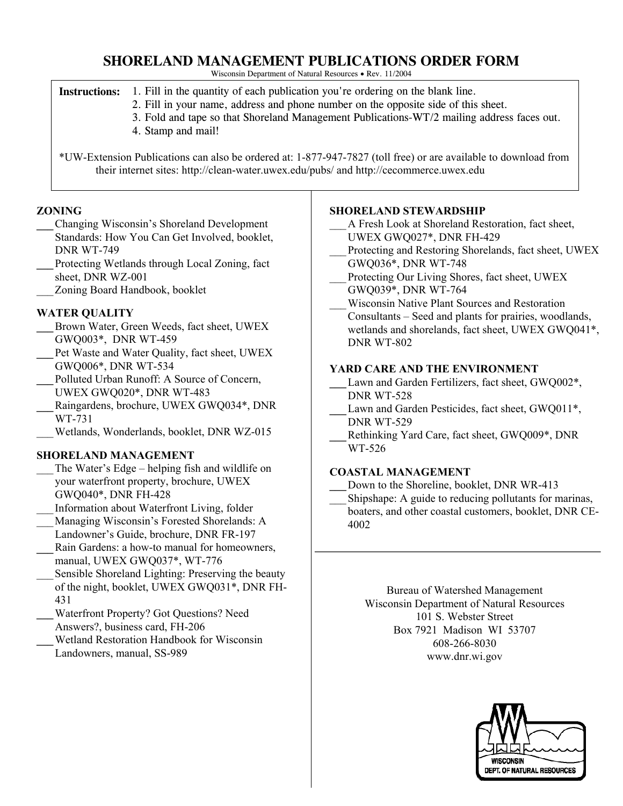# **SHORELAND MANAGEMENT PUBLICATIONS ORDER FORM**

Wisconsin Department of Natural Resources • Rev. 11/2004

|  | <b>Instructions:</b> 1. Fill in the quantity of each publication you're ordering on the blank line. |  |
|--|-----------------------------------------------------------------------------------------------------|--|
|--|-----------------------------------------------------------------------------------------------------|--|

- 2. Fill in your name, address and phone number on the opposite side of this sheet.
- 3. Fold and tape so that Shoreland Management Publications-WT/2 mailing address faces out.
- 4. Stamp and mail!

\*UW-Extension Publications can also be ordered at: 1-877-947-7827 (toll free) or are available to download from their internet sites: http://clean-water.uwex.edu/pubs/ and http://cecommerce.uwex.edu

### **ZONING**

- **\_\_\_**Changing Wisconsin's Shoreland Development Standards: How You Can Get Involved, booklet, DNR WT-749
- **\_\_\_**Protecting Wetlands through Local Zoning, fact sheet, DNR WZ-001
- Zoning Board Handbook, booklet

## **WATER QUALITY**

- **\_\_\_**Brown Water, Green Weeds, fact sheet, UWEX GWQ003\*, DNR WT-459
- Pet Waste and Water Quality, fact sheet, UWEX GWQ006\*, DNR WT-534
- **\_\_\_**Polluted Urban Runoff: A Source of Concern, UWEX GWQ020\*, DNR WT-483
- **\_\_\_**Raingardens, brochure, UWEX GWQ034\*, DNR WT-731
- \_\_\_ Wetlands, Wonderlands, booklet, DNR WZ-015

#### **SHORELAND MANAGEMENT**

- The Water's Edge helping fish and wildlife on your waterfront property, brochure, UWEX GWQ040\*, DNR FH-428
- \_\_\_ Information about Waterfront Living, folder
- Managing Wisconsin's Forested Shorelands: A Landowner's Guide, brochure, DNR FR-197
- **\_\_\_**Rain Gardens: a how-to manual for homeowners, manual, UWEX GWQ037\*, WT-776
- Sensible Shoreland Lighting: Preserving the beauty of the night, booklet, UWEX GWQ031\*, DNR FH-431
- **\_\_\_**Waterfront Property? Got Questions? Need Answers?, business card, FH-206
- **\_\_\_**Wetland Restoration Handbook for Wisconsin Landowners, manual, SS-989

#### **SHORELAND STEWARDSHIP**

- \_\_\_ A Fresh Look at Shoreland Restoration, fact sheet, UWEX GWQ027\*, DNR FH-429
- Protecting and Restoring Shorelands, fact sheet, UWEX GWQ036\*, DNR WT-748
- Protecting Our Living Shores, fact sheet, UWEX GWQ039\*, DNR WT-764
- \_\_\_ Wisconsin Native Plant Sources and Restoration Consultants – Seed and plants for prairies, woodlands, wetlands and shorelands, fact sheet, UWEX GWQ041\*, DNR WT-802

## **YARD CARE AND THE ENVIRONMENT**

- Lawn and Garden Fertilizers, fact sheet, GWQ002<sup>\*</sup>, DNR WT-528
- Lawn and Garden Pesticides, fact sheet, GWQ011<sup>\*</sup>, DNR WT-529
- **\_\_\_**Rethinking Yard Care, fact sheet, GWQ009\*, DNR WT-526

#### **COASTAL MANAGEMENT**

- Down to the Shoreline, booklet, DNR WR-413
- Shipshape: A guide to reducing pollutants for marinas, boaters, and other coastal customers, booklet, DNR CE-4002

Bureau of Watershed Management Wisconsin Department of Natural Resources 101 S. Webster Street Box 7921 Madison WI 53707 608-266-8030 www.dnr.wi.gov